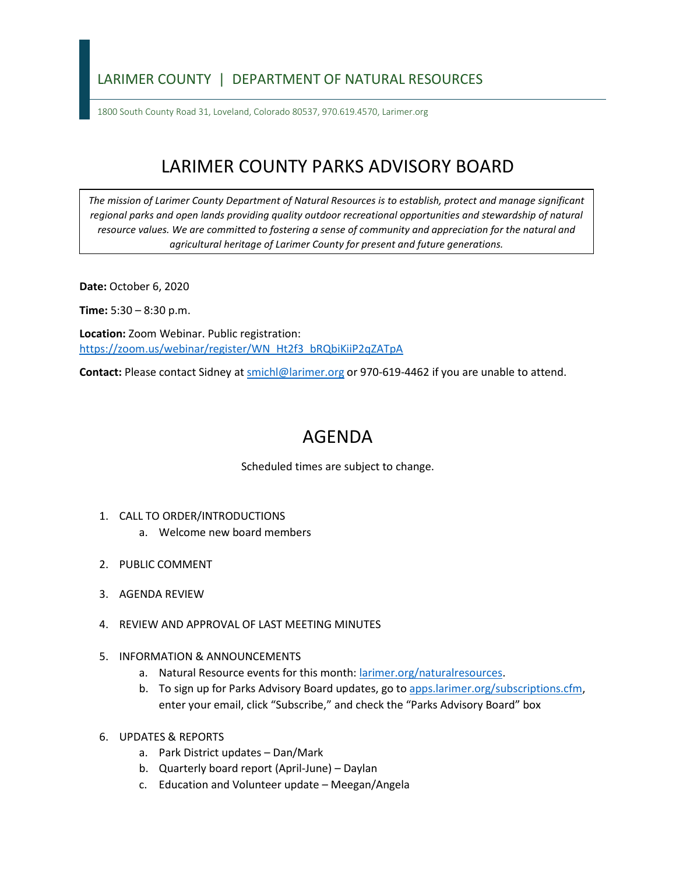## LARIMER COUNTY | DEPARTMENT OF NATURAL RESOURCES

1800 South County Road 31, Loveland, Colorado 80537, 970.619.4570, Larimer.org

## LARIMER COUNTY PARKS ADVISORY BOARD

*The mission of Larimer County Department of Natural Resources is to establish, protect and manage significant*  regional parks and open lands providing quality outdoor recreational opportunities and stewardship of natural *resource values. We are committed to fostering a sense of community and appreciation for the natural and agricultural heritage of Larimer County for present and future generations.*

**Date:** October 6, 2020

**Time:** 5:30 – 8:30 p.m.

**Location:** Zoom Webinar. Public registration: [https://zoom.us/webinar/register/WN\\_Ht2f3\\_bRQbiKiiP2qZATpA](https://zoom.us/webinar/register/WN_Ht2f3_bRQbiKiiP2qZATpA)

**Contact:** Please contact Sidney a[t smichl@larimer.org](mailto:smichl@larimer.org) or 970-619-4462 if you are unable to attend.

## AGENDA

Scheduled times are subject to change.

- 1. CALL TO ORDER/INTRODUCTIONS
	- a. Welcome new board members
- 2. PUBLIC COMMENT
- 3. AGENDA REVIEW
- 4. REVIEW AND APPROVAL OF LAST MEETING MINUTES
- 5. INFORMATION & ANNOUNCEMENTS
	- a. Natural Resource events for this month: larimer.org/naturalresources.
	- b. To sign up for Parks Advisory Board updates, go to apps.larimer.org/subscriptions.cfm, enter your email, click "Subscribe," and check the "Parks Advisory Board" box
- 6. UPDATES & REPORTS
	- a. Park District updates Dan/Mark
	- b. Quarterly board report (April-June) Daylan
	- c. Education and Volunteer update Meegan/Angela